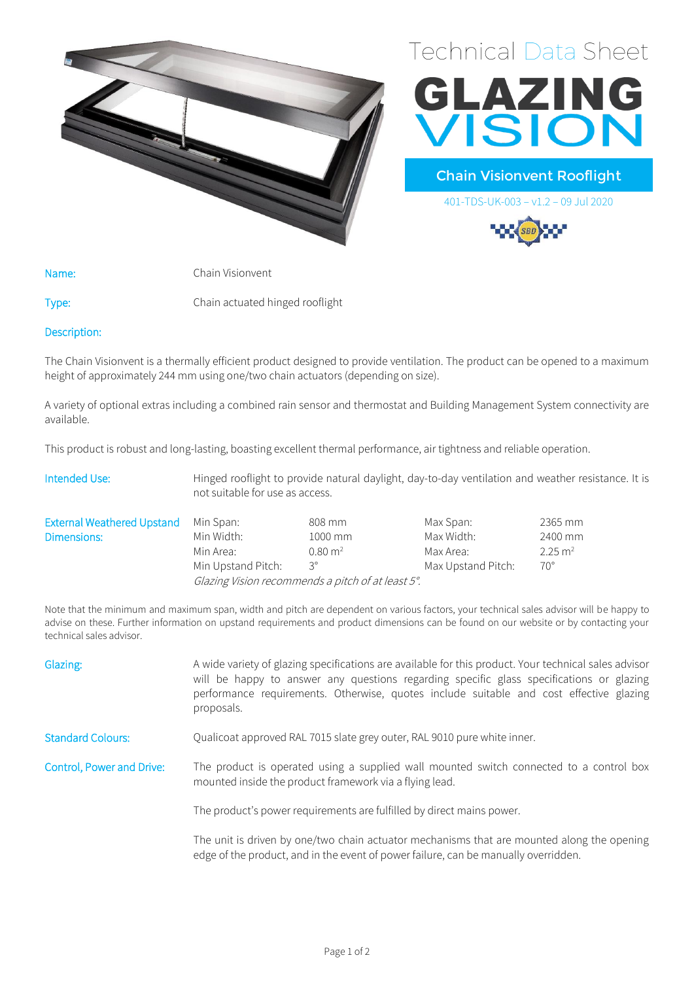



Chain Visionvent Rooflight

401-TDS-UK-003 – v1.2 – 09 Jul 2020

Name: Chain Visionvent

Type: Chain actuated hinged rooflight

## Description:

The Chain Visionvent is a thermally efficient product designed to provide ventilation. The product can be opened to a maximum height of approximately 244 mm using one/two chain actuators (depending on size).

A variety of optional extras including a combined rain sensor and thermostat and Building Management System connectivity are available.

This product is robust and long-lasting, boasting excellent thermal performance, air tightness and reliable operation.

| Intended Use:                     | Hinged rooflight to provide natural daylight, day-to-day ventilation and weather resistance. It is<br>not suitable for use as access. |                    |                    |                    |
|-----------------------------------|---------------------------------------------------------------------------------------------------------------------------------------|--------------------|--------------------|--------------------|
| <b>External Weathered Upstand</b> | Min Span:                                                                                                                             | 808 mm             | Max Span:          | 2365 mm            |
| Dimensions:                       | Min Width:                                                                                                                            | 1000 mm            | Max Width:         | 2400 mm            |
|                                   | Min Area:                                                                                                                             | $0.80 \text{ m}^2$ | Max Area:          | $2.25 \text{ m}^2$ |
|                                   | Min Upstand Pitch:                                                                                                                    | $3^{\circ}$        | Max Upstand Pitch: | $70^{\circ}$       |

Glazing Vision recommends a pitch of at least 5°.

Note that the minimum and maximum span, width and pitch are dependent on various factors, your technical sales advisor will be happy to advise on these. Further information on upstand requirements and product dimensions can be found on our website or by contacting your technical sales advisor.

| Glazing:                  | A wide variety of glazing specifications are available for this product. Your technical sales advisor<br>will be happy to answer any questions regarding specific glass specifications or glazing<br>performance requirements. Otherwise, quotes include suitable and cost effective glazing<br>proposals. |  |  |  |
|---------------------------|------------------------------------------------------------------------------------------------------------------------------------------------------------------------------------------------------------------------------------------------------------------------------------------------------------|--|--|--|
| <b>Standard Colours:</b>  | Qualicoat approved RAL 7015 slate grey outer, RAL 9010 pure white inner.                                                                                                                                                                                                                                   |  |  |  |
| Control, Power and Drive: | The product is operated using a supplied wall mounted switch connected to a control box<br>mounted inside the product framework via a flying lead.                                                                                                                                                         |  |  |  |
|                           | The product's power requirements are fulfilled by direct mains power.                                                                                                                                                                                                                                      |  |  |  |
|                           | The unit is driven by one/two chain actuator mechanisms that are mounted along the opening<br>edge of the product, and in the event of power failure, can be manually overridden.                                                                                                                          |  |  |  |